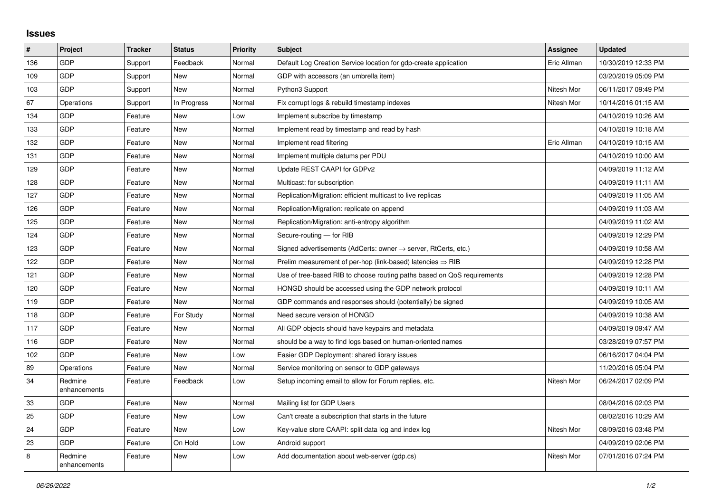## **Issues**

| #   | Project                 | <b>Tracker</b> | <b>Status</b> | <b>Priority</b> | <b>Subject</b>                                                             | Assignee    | <b>Updated</b>      |
|-----|-------------------------|----------------|---------------|-----------------|----------------------------------------------------------------------------|-------------|---------------------|
| 136 | GDP                     | Support        | Feedback      | Normal          | Default Log Creation Service location for gdp-create application           | Eric Allman | 10/30/2019 12:33 PM |
| 109 | GDP                     | Support        | <b>New</b>    | Normal          | GDP with accessors (an umbrella item)                                      |             | 03/20/2019 05:09 PM |
| 103 | <b>GDP</b>              | Support        | <b>New</b>    | Normal          | Python3 Support                                                            | Nitesh Mor  | 06/11/2017 09:49 PM |
| 67  | Operations              | Support        | In Progress   | Normal          | Fix corrupt logs & rebuild timestamp indexes                               | Nitesh Mor  | 10/14/2016 01:15 AM |
| 134 | GDP                     | Feature        | <b>New</b>    | Low             | Implement subscribe by timestamp                                           |             | 04/10/2019 10:26 AM |
| 133 | GDP                     | Feature        | New           | Normal          | Implement read by timestamp and read by hash                               |             | 04/10/2019 10:18 AM |
| 132 | GDP                     | Feature        | <b>New</b>    | Normal          | Implement read filtering                                                   | Eric Allman | 04/10/2019 10:15 AM |
| 131 | GDP                     | Feature        | New           | Normal          | Implement multiple datums per PDU                                          |             | 04/10/2019 10:00 AM |
| 129 | GDP                     | Feature        | New           | Normal          | Update REST CAAPI for GDPv2                                                |             | 04/09/2019 11:12 AM |
| 128 | GDP                     | Feature        | <b>New</b>    | Normal          | Multicast: for subscription                                                |             | 04/09/2019 11:11 AM |
| 127 | GDP                     | Feature        | <b>New</b>    | Normal          | Replication/Migration: efficient multicast to live replicas                |             | 04/09/2019 11:05 AM |
| 126 | GDP                     | Feature        | New           | Normal          | Replication/Migration: replicate on append                                 |             | 04/09/2019 11:03 AM |
| 125 | GDP                     | Feature        | <b>New</b>    | Normal          | Replication/Migration: anti-entropy algorithm                              |             | 04/09/2019 11:02 AM |
| 124 | GDP                     | Feature        | New           | Normal          | Secure-routing - for RIB                                                   |             | 04/09/2019 12:29 PM |
| 123 | GDP                     | Feature        | New           | Normal          | Signed advertisements (AdCerts: owner $\rightarrow$ server, RtCerts, etc.) |             | 04/09/2019 10:58 AM |
| 122 | GDP                     | Feature        | <b>New</b>    | Normal          | Prelim measurement of per-hop (link-based) latencies $\Rightarrow$ RIB     |             | 04/09/2019 12:28 PM |
| 121 | GDP                     | Feature        | <b>New</b>    | Normal          | Use of tree-based RIB to choose routing paths based on QoS requirements    |             | 04/09/2019 12:28 PM |
| 120 | GDP                     | Feature        | New           | Normal          | HONGD should be accessed using the GDP network protocol                    |             | 04/09/2019 10:11 AM |
| 119 | GDP                     | Feature        | <b>New</b>    | Normal          | GDP commands and responses should (potentially) be signed                  |             | 04/09/2019 10:05 AM |
| 118 | GDP                     | Feature        | For Study     | Normal          | Need secure version of HONGD                                               |             | 04/09/2019 10:38 AM |
| 117 | GDP                     | Feature        | <b>New</b>    | Normal          | All GDP objects should have keypairs and metadata                          |             | 04/09/2019 09:47 AM |
| 116 | GDP                     | Feature        | <b>New</b>    | Normal          | should be a way to find logs based on human-oriented names                 |             | 03/28/2019 07:57 PM |
| 102 | GDP                     | Feature        | <b>New</b>    | Low             | Easier GDP Deployment: shared library issues                               |             | 06/16/2017 04:04 PM |
| 89  | Operations              | Feature        | New           | Normal          | Service monitoring on sensor to GDP gateways                               |             | 11/20/2016 05:04 PM |
| 34  | Redmine<br>enhancements | Feature        | Feedback      | Low             | Setup incoming email to allow for Forum replies, etc.                      | Nitesh Mor  | 06/24/2017 02:09 PM |
| 33  | GDP                     | Feature        | <b>New</b>    | Normal          | Mailing list for GDP Users                                                 |             | 08/04/2016 02:03 PM |
| 25  | GDP                     | Feature        | <b>New</b>    | Low             | Can't create a subscription that starts in the future                      |             | 08/02/2016 10:29 AM |
| 24  | GDP                     | Feature        | <b>New</b>    | Low             | Key-value store CAAPI: split data log and index log                        | Nitesh Mor  | 08/09/2016 03:48 PM |
| 23  | GDP                     | Feature        | On Hold       | Low             | Android support                                                            |             | 04/09/2019 02:06 PM |
| 8   | Redmine<br>enhancements | Feature        | New           | Low             | Add documentation about web-server (gdp.cs)                                | Nitesh Mor  | 07/01/2016 07:24 PM |